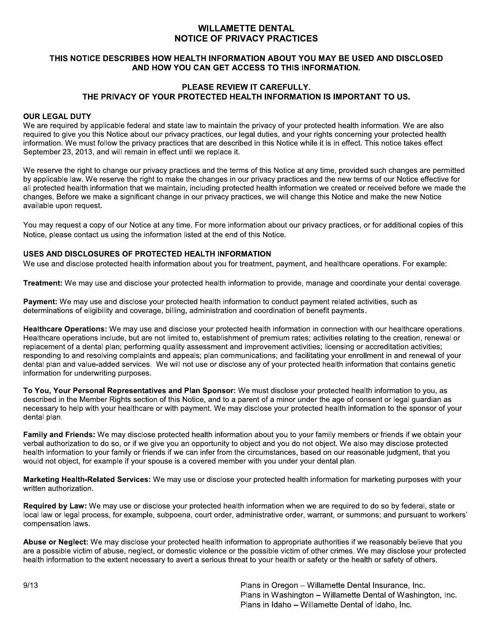# **WILLAMETTE DENTAL NOTICE OF PRIVACY PRACTICES**

## THIS NOTICE DESCRIBES HOW HEALTH INFORMATION ABOUT YOU MAY BE USED AND DISCLOSED AND HOW YOU CAN GET ACCESS TO THIS INFORMATION.

# PLEASE REVIEW IT CAREFULLY. THE PRIVACY OF YOUR PROTECTED HEALTH INFORMATION IS IMPORTANT TO US.

#### **OUR LEGAL DUTY**

We are required by applicable federal and state law to maintain the privacy of your protected health information. We are also required to give you this Notice about our privacy practices, our legal duties, and your rights concerning your protected health information. We must follow the privacy practices that are described in this Notice while it is in effect. This notice takes effect September 23, 2013, and will remain in effect until we replace it.

We reserve the right to change our privacy practices and the terms of this Notice at any time, provided such changes are permitted by applicable law. We reserve the right to make the changes in our privacy practices and the new terms of our Notice effective for all protected health information that we maintain, including protected health information we created or received before we made the changes. Before we make a significant change in our privacy practices, we will change this Notice and make the new Notice available upon request.

You may request a copy of our Notice at any time. For more information about our privacy practices, or for additional copies of this Notice, please contact us using the information listed at the end of this Notice.

### USES AND DISCLOSURES OF PROTECTED HEALTH INFORMATION

We use and disclose protected health information about you for treatment, payment, and healthcare operations. For example:

Treatment: We may use and disclose your protected health information to provide, manage and coordinate your dental coverage.

Payment: We may use and disclose your protected health information to conduct payment related activities, such as determinations of eligibility and coverage, billing, administration and coordination of benefit payments.

Healthcare Operations: We may use and disclose your protected health information in connection with our healthcare operations. Healthcare operations include, but are not limited to, establishment of premium rates; activities relating to the creation, renewal or replacement of a dental plan; performing quality assessment and improvement activities; licensing or accreditation activities; responding to and resolving complaints and appeals; plan communications; and facilitating your enrollment in and renewal of your dental plan and value-added services. We will not use or disclose any of your protected health information that contains genetic information for underwriting purposes.

To You, Your Personal Representatives and Plan Sponsor: We must disclose your protected health information to you, as described in the Member Rights section of this Notice, and to a parent of a minor under the age of consent or legal guardian as necessary to help with your healthcare or with payment. We may disclose your protected health information to the sponsor of your dental plan.

Family and Friends: We may disclose protected health information about you to your family members or friends if we obtain your verbal authorization to do so, or if we give you an opportunity to object and you do not object. We also may disclose protected health information to your family or friends if we can infer from the circumstances, based on our reasonable judgment, that you would not object, for example if your spouse is a covered member with you under your dental plan.

Marketing Health-Related Services: We may use or disclose your protected health information for marketing purposes with your written authorization.

Required by Law: We may use or disclose your protected health information when we are required to do so by federal, state or local law or legal process, for example, subpoena, court order, administrative order, warrant, or summons; and pursuant to workers' compensation laws.

Abuse or Neglect: We may disclose your protected health information to appropriate authorities if we reasonably believe that you are a possible victim of abuse, neglect, or domestic violence or the possible victim of other crimes. We may disclose your protected health information to the extent necessary to avert a serious threat to your health or safety or the health or safety of others.

> Plans in Oregon - Willamette Dental Insurance, Inc. Plans in Washington - Willamette Dental of Washington, Inc. Plans in Idaho - Willamette Dental of Idaho, Inc.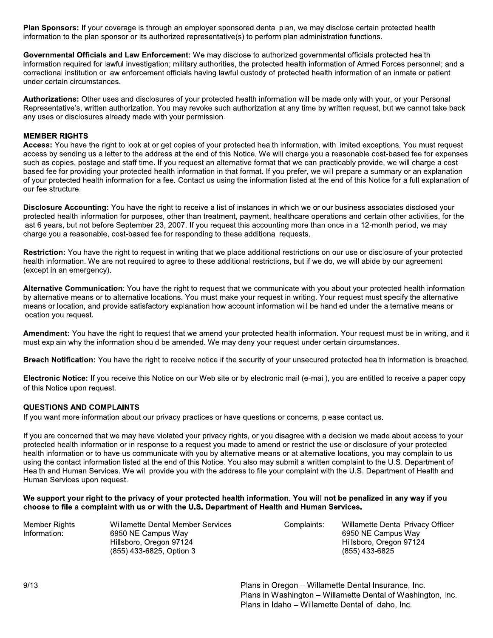Plan Sponsors: If your coverage is through an employer sponsored dental plan, we may disclose certain protected health information to the plan sponsor or its authorized representative(s) to perform plan administration functions.

Governmental Officials and Law Enforcement: We may disclose to authorized governmental officials protected health information required for lawful investigation; military authorities, the protected health information of Armed Forces personnel; and a correctional institution or law enforcement officials having lawful custody of protected health information of an inmate or patient under certain circumstances.

Authorizations: Other uses and disclosures of your protected health information will be made only with your, or your Personal Representative's, written authorization. You may revoke such authorization at any time by written request, but we cannot take back any uses or disclosures already made with your permission.

#### **MEMBER RIGHTS**

Access: You have the right to look at or get copies of your protected health information, with limited exceptions. You must request access by sending us a letter to the address at the end of this Notice. We will charge you a reasonable cost-based fee for expenses such as copies, postage and staff time. If you request an alternative format that we can practicably provide, we will charge a costbased fee for providing your protected health information in that format. If you prefer, we will prepare a summary or an explanation of your protected health information for a fee. Contact us using the information listed at the end of this Notice for a full explanation of our fee structure.

Disclosure Accounting: You have the right to receive a list of instances in which we or our business associates disclosed your protected health information for purposes, other than treatment, payment, healthcare operations and certain other activities, for the last 6 years, but not before September 23, 2007. If you request this accounting more than once in a 12-month period, we may charge you a reasonable, cost-based fee for responding to these additional requests.

Restriction: You have the right to request in writing that we place additional restrictions on our use or disclosure of your protected health information. We are not required to agree to these additional restrictions, but if we do, we will abide by our agreement (except in an emergency).

Alternative Communication: You have the right to request that we communicate with you about your protected health information by alternative means or to alternative locations. You must make your request in writing. Your request must specify the alternative means or location, and provide satisfactory explanation how account information will be handled under the alternative means or location you request.

Amendment: You have the right to request that we amend your protected health information. Your request must be in writing, and it must explain why the information should be amended. We may deny your request under certain circumstances.

Breach Notification: You have the right to receive notice if the security of your unsecured protected health information is breached.

Electronic Notice: If you receive this Notice on our Web site or by electronic mail (e-mail), you are entitled to receive a paper copy of this Notice upon request.

#### **QUESTIONS AND COMPLAINTS**

If you want more information about our privacy practices or have questions or concerns, please contact us.

If you are concerned that we may have violated your privacy rights, or you disagree with a decision we made about access to your protected health information or in response to a request you made to amend or restrict the use or disclosure of your protected health information or to have us communicate with you by alternative means or at alternative locations, you may complain to us using the contact information listed at the end of this Notice. You also may submit a written complaint to the U.S. Department of Health and Human Services. We will provide you with the address to file your complaint with the U.S. Department of Health and Human Services upon request.

We support your right to the privacy of your protected health information. You will not be penalized in any way if you choose to file a complaint with us or with the U.S. Department of Health and Human Services.

| Member Rights | Willamette Dental Member Services | Complaints: | Willamette Dental Privacy Officer |
|---------------|-----------------------------------|-------------|-----------------------------------|
| Information:  | 6950 NE Campus Way                |             | 6950 NE Campus Way                |
|               | Hillsboro, Oregon 97124           |             | Hillsboro, Oregon 97124           |
|               | (855) 433-6825, Option 3          |             | (855) 433-6825                    |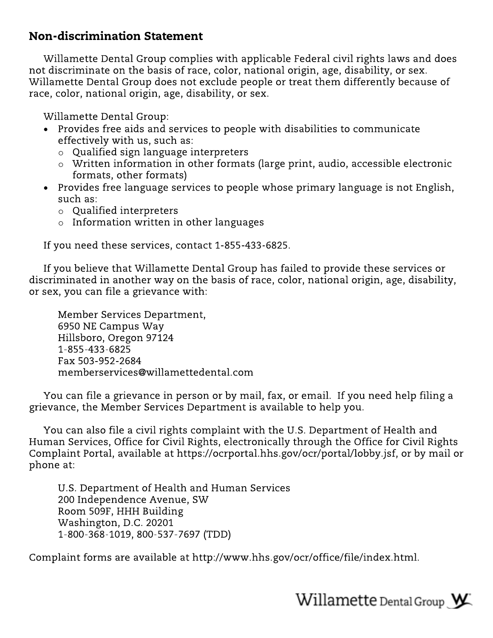# **Non-discrimination Statement**

Willamette Dental Group complies with applicable Federal civil rights laws and does not discriminate on the basis of race, color, national origin, age, disability, or sex. Willamette Dental Group does not exclude people or treat them differently because of race, color, national origin, age, disability, or sex.

Willamette Dental Group:

- Provides free aids and services to people with disabilities to communicate effectively with us, such as:
	- $\circ$  Qualified sign language interpreters
	- $\circ$  Written information in other formats (large print, audio, accessible electronic formats, other formats)
- Provides free language services to people whose primary language is not English, such as:
	- $\circ$  Qualified interpreters
	- $\circ$  Information written in other languages

If you need these services, contact 1-855-433-6825.

If you believe that Willamette Dental Group has failed to provide these services or discriminated in another way on the basis of race, color, national origin, age, disability, or sex, you can file a grievance with:

Member Services Department, 6950 NE Campus Way Hillsboro, Oregon 97124 1-855-433-6825 Fax 503-952-2684 memberservices@willamettedental.com

You can file a grievance in person or by mail, fax, or email. If you need help filing a grievance, the Member Services Department is available to help you.

You can also file a civil rights complaint with the U.S. Department of Health and Human Services, Office for Civil Rights, electronically through the Office for Civil Rights Complaint Portal, available at https://ocrportal.hhs.gov/ocr/portal/lobby.jsf, or by mail or phone at:

U.S. Department of Health and Human Services 200 Independence Avenue, SW Room 509F, HHH Building Washington, D.C. 20201 1-800-368-1019, 800-537-7697 (TDD)

Complaint forms are available at http://www.hhs.gov/ocr/office/file/index.html.